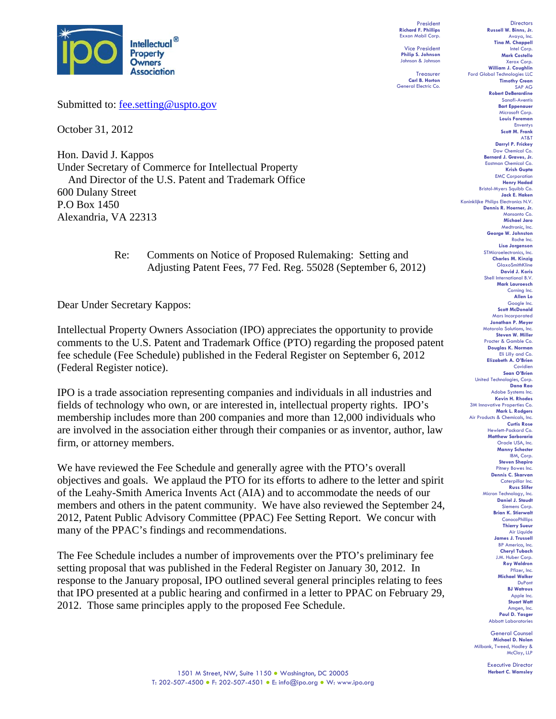

Submitted to: fee.setting@uspto.gov

October 31, 2012

Hon. David J. Kappos Under Secretary of Commerce for Intellectual Property And Director of the U.S. Patent and Trademark Office 600 Dulany Street P.O Box 1450 Alexandria, VA 22313

> Re: Comments on Notice of Proposed Rulemaking: Setting and Adjusting Patent Fees, 77 Fed. Reg. 55028 (September 6, 2012)

Dear Under Secretary Kappos:

Intellectual Property Owners Association (IPO) appreciates the opportunity to provide comments to the U.S. Patent and Trademark Office (PTO) regarding the proposed patent fee schedule (Fee Schedule) published in the Federal Register on September 6, 2012 (Federal Register notice).

IPO is a trade association representing companies and individuals in all industries and fields of technology who own, or are interested in, intellectual property rights. IPO's membership includes more than 200 companies and more than 12,000 individuals who are involved in the association either through their companies or as inventor, author, law firm, or attorney members.

We have reviewed the Fee Schedule and generally agree with the PTO's overall objectives and goals. We applaud the PTO for its efforts to adhere to the letter and spirit of the Leahy-Smith America Invents Act (AIA) and to accommodate the needs of our members and others in the patent community. We have also reviewed the September 24, 2012, Patent Public Advisory Committee (PPAC) Fee Setting Report. We concur with many of the PPAC's findings and recommendations.

The Fee Schedule includes a number of improvements over the PTO's preliminary fee setting proposal that was published in the Federal Register on January 30, 2012. In response to the January proposal, IPO outlined several general principles relating to fees that IPO presented at a public hearing and confirmed in a letter to PPAC on February 29, 2012. Those same principles apply to the proposed Fee Schedule.

President **Richard F. Phillips** Exxon Mobil Corp.

Vice President **Philip S. Johnson** Johnson & Johnson

Treasurer **Carl B. Horton** General Electric Co.

**Directors Russell W. Binns, Jr.**  Avaya, Inc. **Tina M. Chappell**  Intel Corp. **Mark Costello**  Xerox Corp. **William J. Coughlin** Ford Global Technologies LLC **Timothy Crean** SAP AG **Robert DeBerardine** Sanofi-Aventis **Bart Eppenauer**  Microsoft Corp. **Louis Foreman**  Enventys **Scott M. Frank**  AT&T **Darryl P. Frickey**  Dow Chemical Co. **Bernard J. Graves, Jr.**  Eastman Chemical Co. **Krish Gupta**  EMC Corporation **Henry Hadad**  Bristol-Myers Squibb Co. **Jack E. Haken** Koninklijke Philips Electronics N.V. **Dennis R. Hoerner, Jr.** Monsanto Co. **Michael Jaro**  Medtronic, Inc. **George W. Johnston**  Roche Inc. **Lisa Jorgenson**  STMicroelectronics, Inc. **Charles M. Kinzig** GlaxoSmithKline **David J. Koris**  Shell Interna **Mark Lauroesch**  Corning Inc. **Allen Lo**  Google Inc. **Scott McDonald**  Mars Incorporated **Jonathan P. Meyer**  Motorola Solutions, Inc. **Steven W. Miller**  Procter & Gamble Co. **Douglas K. Norman** Eli Lilly and Co. **Elizabeth A. O'Brien**  Covidien **Sean O'Brien**  United Technologies, Corp. **Dana Rao**  Adobe Systems Inc. **Kevin H. Rhodes**  3M Innovative Properties Co. **Mark L. Rodgers**  Air Products & Chemicals, Inc. **Curtis Rose** Hewlett-Packard Co. **Matthew Sarboraria**  Oracle USA, Inc. **Manny Schecter**  IBM, Corp. **Steven Shapiro**  Pitney Bowes Inc. **Dennis C. Skarvan**  Caterpillar Inc. **Russ Slifer** Micron Technology, Inc. **Daniel J. Staudt**  Siemens Corp. **Brian K. Stierwalt**  ConocoPhillips **Thierry Sueur Air Liquide James J. Trussell** BP America, Inc. **Cheryl Tubach**  J.M. Huber Corp. **Roy Waldron**  Pfizer, Inc. **Michael Walker**  DuPont **BJ Watrous**  Apple Inc. **Stuart Watt** Amgen, Inc. **Paul D. Yasger**  Abbott Laboratories

General Counsel **Michael D. Nolan**  Milbank, Tweed, Hadley & McCloy, LLP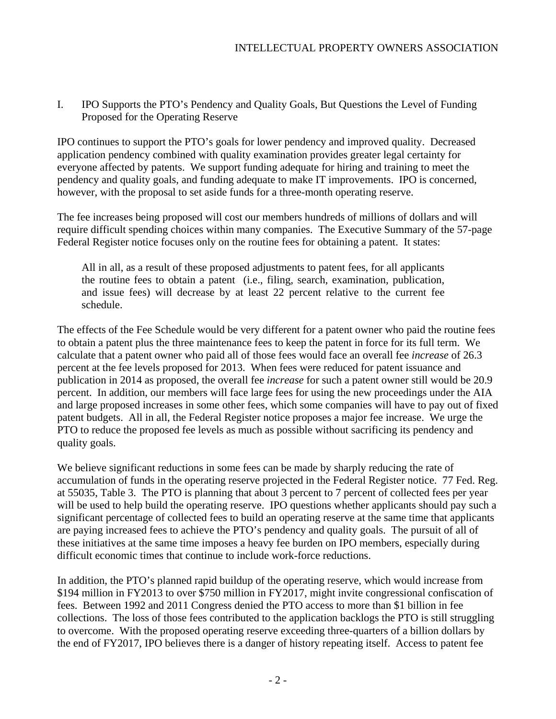I. IPO Supports the PTO's Pendency and Quality Goals, But Questions the Level of Funding Proposed for the Operating Reserve

IPO continues to support the PTO's goals for lower pendency and improved quality. Decreased application pendency combined with quality examination provides greater legal certainty for everyone affected by patents. We support funding adequate for hiring and training to meet the pendency and quality goals, and funding adequate to make IT improvements. IPO is concerned, however, with the proposal to set aside funds for a three-month operating reserve.

The fee increases being proposed will cost our members hundreds of millions of dollars and will require difficult spending choices within many companies. The Executive Summary of the 57-page Federal Register notice focuses only on the routine fees for obtaining a patent. It states:

All in all, as a result of these proposed adjustments to patent fees, for all applicants the routine fees to obtain a patent (i.e., filing, search, examination, publication, and issue fees) will decrease by at least 22 percent relative to the current fee schedule.

The effects of the Fee Schedule would be very different for a patent owner who paid the routine fees to obtain a patent plus the three maintenance fees to keep the patent in force for its full term. We calculate that a patent owner who paid all of those fees would face an overall fee *increase* of 26.3 percent at the fee levels proposed for 2013. When fees were reduced for patent issuance and publication in 2014 as proposed, the overall fee *increase* for such a patent owner still would be 20.9 percent. In addition, our members will face large fees for using the new proceedings under the AIA and large proposed increases in some other fees, which some companies will have to pay out of fixed patent budgets. All in all, the Federal Register notice proposes a major fee increase. We urge the PTO to reduce the proposed fee levels as much as possible without sacrificing its pendency and quality goals.

We believe significant reductions in some fees can be made by sharply reducing the rate of accumulation of funds in the operating reserve projected in the Federal Register notice. 77 Fed. Reg. at 55035, Table 3. The PTO is planning that about 3 percent to 7 percent of collected fees per year will be used to help build the operating reserve. IPO questions whether applicants should pay such a significant percentage of collected fees to build an operating reserve at the same time that applicants are paying increased fees to achieve the PTO's pendency and quality goals. The pursuit of all of these initiatives at the same time imposes a heavy fee burden on IPO members, especially during difficult economic times that continue to include work-force reductions.

In addition, the PTO's planned rapid buildup of the operating reserve, which would increase from \$194 million in FY2013 to over \$750 million in FY2017, might invite congressional confiscation of fees. Between 1992 and 2011 Congress denied the PTO access to more than \$1 billion in fee collections. The loss of those fees contributed to the application backlogs the PTO is still struggling to overcome. With the proposed operating reserve exceeding three-quarters of a billion dollars by the end of FY2017, IPO believes there is a danger of history repeating itself. Access to patent fee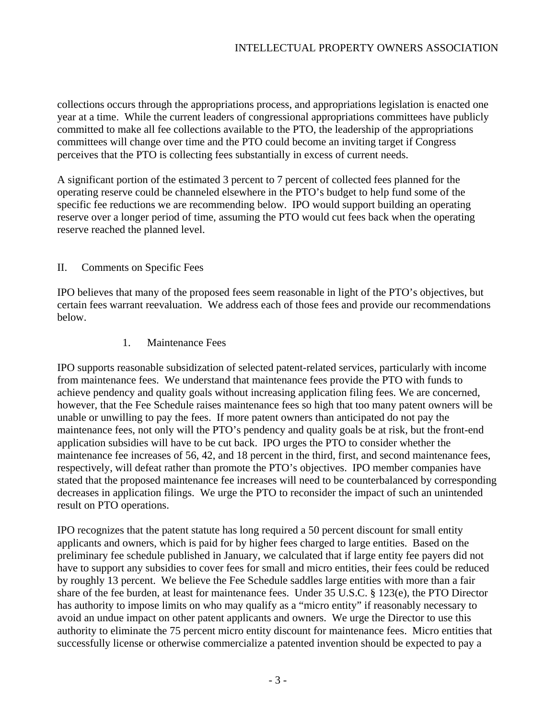collections occurs through the appropriations process, and appropriations legislation is enacted one year at a time. While the current leaders of congressional appropriations committees have publicly committed to make all fee collections available to the PTO, the leadership of the appropriations committees will change over time and the PTO could become an inviting target if Congress perceives that the PTO is collecting fees substantially in excess of current needs.

A significant portion of the estimated 3 percent to 7 percent of collected fees planned for the operating reserve could be channeled elsewhere in the PTO's budget to help fund some of the specific fee reductions we are recommending below. IPO would support building an operating reserve over a longer period of time, assuming the PTO would cut fees back when the operating reserve reached the planned level.

## II. Comments on Specific Fees

IPO believes that many of the proposed fees seem reasonable in light of the PTO's objectives, but certain fees warrant reevaluation. We address each of those fees and provide our recommendations below.

#### 1. Maintenance Fees

IPO supports reasonable subsidization of selected patent-related services, particularly with income from maintenance fees. We understand that maintenance fees provide the PTO with funds to achieve pendency and quality goals without increasing application filing fees. We are concerned, however, that the Fee Schedule raises maintenance fees so high that too many patent owners will be unable or unwilling to pay the fees. If more patent owners than anticipated do not pay the maintenance fees, not only will the PTO's pendency and quality goals be at risk, but the front-end application subsidies will have to be cut back. IPO urges the PTO to consider whether the maintenance fee increases of 56, 42, and 18 percent in the third, first, and second maintenance fees, respectively, will defeat rather than promote the PTO's objectives. IPO member companies have stated that the proposed maintenance fee increases will need to be counterbalanced by corresponding decreases in application filings. We urge the PTO to reconsider the impact of such an unintended result on PTO operations.

IPO recognizes that the patent statute has long required a 50 percent discount for small entity applicants and owners, which is paid for by higher fees charged to large entities. Based on the preliminary fee schedule published in January, we calculated that if large entity fee payers did not have to support any subsidies to cover fees for small and micro entities, their fees could be reduced by roughly 13 percent. We believe the Fee Schedule saddles large entities with more than a fair share of the fee burden, at least for maintenance fees. Under 35 U.S.C. § 123(e), the PTO Director has authority to impose limits on who may qualify as a "micro entity" if reasonably necessary to avoid an undue impact on other patent applicants and owners. We urge the Director to use this authority to eliminate the 75 percent micro entity discount for maintenance fees. Micro entities that successfully license or otherwise commercialize a patented invention should be expected to pay a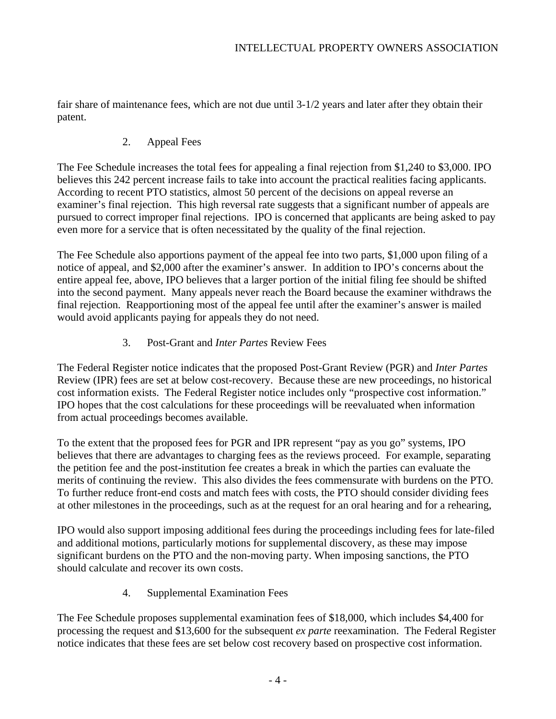fair share of maintenance fees, which are not due until 3-1/2 years and later after they obtain their patent.

## 2. Appeal Fees

The Fee Schedule increases the total fees for appealing a final rejection from \$1,240 to \$3,000. IPO believes this 242 percent increase fails to take into account the practical realities facing applicants. According to recent PTO statistics, almost 50 percent of the decisions on appeal reverse an examiner's final rejection. This high reversal rate suggests that a significant number of appeals are pursued to correct improper final rejections. IPO is concerned that applicants are being asked to pay even more for a service that is often necessitated by the quality of the final rejection.

The Fee Schedule also apportions payment of the appeal fee into two parts, \$1,000 upon filing of a notice of appeal, and \$2,000 after the examiner's answer. In addition to IPO's concerns about the entire appeal fee, above, IPO believes that a larger portion of the initial filing fee should be shifted into the second payment. Many appeals never reach the Board because the examiner withdraws the final rejection. Reapportioning most of the appeal fee until after the examiner's answer is mailed would avoid applicants paying for appeals they do not need.

# 3. Post-Grant and *Inter Partes* Review Fees

The Federal Register notice indicates that the proposed Post-Grant Review (PGR) and *Inter Partes*  Review (IPR) fees are set at below cost-recovery. Because these are new proceedings, no historical cost information exists. The Federal Register notice includes only "prospective cost information." IPO hopes that the cost calculations for these proceedings will be reevaluated when information from actual proceedings becomes available.

To the extent that the proposed fees for PGR and IPR represent "pay as you go" systems, IPO believes that there are advantages to charging fees as the reviews proceed. For example, separating the petition fee and the post-institution fee creates a break in which the parties can evaluate the merits of continuing the review. This also divides the fees commensurate with burdens on the PTO. To further reduce front-end costs and match fees with costs, the PTO should consider dividing fees at other milestones in the proceedings, such as at the request for an oral hearing and for a rehearing,

IPO would also support imposing additional fees during the proceedings including fees for late-filed and additional motions, particularly motions for supplemental discovery, as these may impose significant burdens on the PTO and the non-moving party. When imposing sanctions, the PTO should calculate and recover its own costs.

4. Supplemental Examination Fees

The Fee Schedule proposes supplemental examination fees of \$18,000, which includes \$4,400 for processing the request and \$13,600 for the subsequent *ex parte* reexamination. The Federal Register notice indicates that these fees are set below cost recovery based on prospective cost information.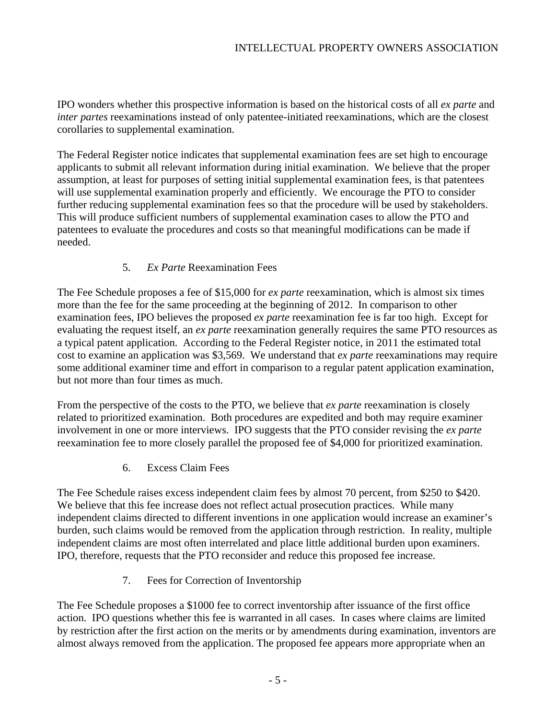IPO wonders whether this prospective information is based on the historical costs of all *ex parte* and *inter partes* reexaminations instead of only patentee-initiated reexaminations, which are the closest corollaries to supplemental examination.

The Federal Register notice indicates that supplemental examination fees are set high to encourage applicants to submit all relevant information during initial examination. We believe that the proper assumption, at least for purposes of setting initial supplemental examination fees, is that patentees will use supplemental examination properly and efficiently. We encourage the PTO to consider further reducing supplemental examination fees so that the procedure will be used by stakeholders. This will produce sufficient numbers of supplemental examination cases to allow the PTO and patentees to evaluate the procedures and costs so that meaningful modifications can be made if needed.

## 5. *Ex Parte* Reexamination Fees

The Fee Schedule proposes a fee of \$15,000 for *ex parte* reexamination, which is almost six times more than the fee for the same proceeding at the beginning of 2012. In comparison to other examination fees, IPO believes the proposed *ex parte* reexamination fee is far too high. Except for evaluating the request itself, an *ex parte* reexamination generally requires the same PTO resources as a typical patent application. According to the Federal Register notice, in 2011 the estimated total cost to examine an application was \$3,569. We understand that *ex parte* reexaminations may require some additional examiner time and effort in comparison to a regular patent application examination, but not more than four times as much.

From the perspective of the costs to the PTO, we believe that *ex parte* reexamination is closely related to prioritized examination. Both procedures are expedited and both may require examiner involvement in one or more interviews. IPO suggests that the PTO consider revising the *ex parte* reexamination fee to more closely parallel the proposed fee of \$4,000 for prioritized examination.

6. Excess Claim Fees

The Fee Schedule raises excess independent claim fees by almost 70 percent, from \$250 to \$420. We believe that this fee increase does not reflect actual prosecution practices. While many independent claims directed to different inventions in one application would increase an examiner's burden, such claims would be removed from the application through restriction. In reality, multiple independent claims are most often interrelated and place little additional burden upon examiners. IPO, therefore, requests that the PTO reconsider and reduce this proposed fee increase.

7. Fees for Correction of Inventorship

The Fee Schedule proposes a \$1000 fee to correct inventorship after issuance of the first office action. IPO questions whether this fee is warranted in all cases. In cases where claims are limited by restriction after the first action on the merits or by amendments during examination, inventors are almost always removed from the application. The proposed fee appears more appropriate when an